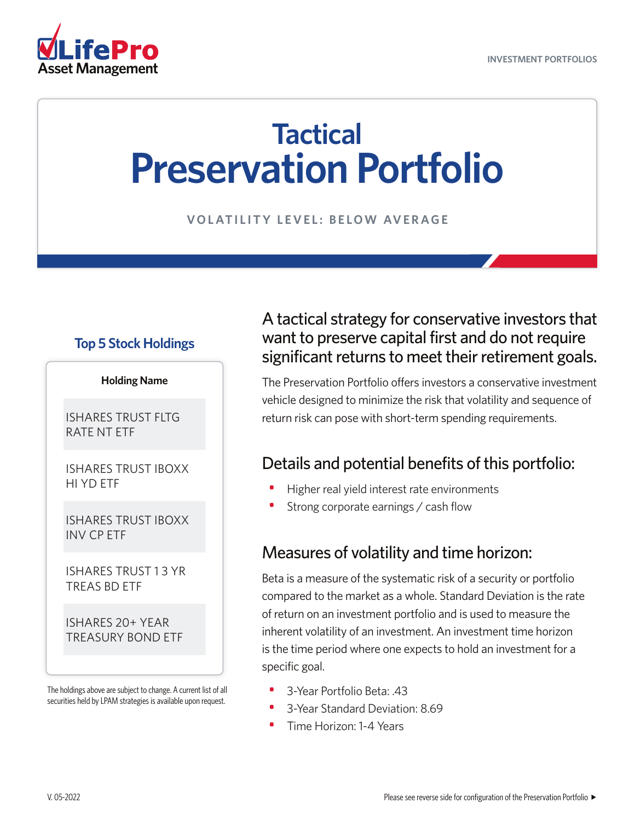

# **Tactical Preservation Portfolio**

**VOLATILITY LEVEL: BELOW AVERAGE**

#### **Top 5 Stock Holdings**

#### **Holding Name**

ISHARES TRUST FLTG RATE NT ETF

ISHARES TRUST IBOXX HI YD ETF

ISHARES TRUST IBOXX INV CP ETF

ISHARES TRUST 1 3 YR TREAS BD ETF

ISHARES 20+ YEAR TREASURY BOND ETF

The holdings above are subject to change. A current list of all securities held by LPAM strategies is available upon request.

### A tactical strategy for conservative investors that want to preserve capital first and do not require significant returns to meet their retirement goals.

The Preservation Portfolio offers investors a conservative investment vehicle designed to minimize the risk that volatility and sequence of return risk can pose with short-term spending requirements.

### Details and potential benefits of this portfolio:

- Higher real yield interest rate environments
- Strong corporate earnings / cash flow

#### Measures of volatility and time horizon:

Beta is a measure of the systematic risk of a security or portfolio compared to the market as a whole. Standard Deviation is the rate of return on an investment portfolio and is used to measure the inherent volatility of an investment. An investment time horizon is the time period where one expects to hold an investment for a specific goal.

- 3-Year Portfolio Beta: .43
- 3-Year Standard Deviation: 8.69
- Time Horizon: 1-4 Years